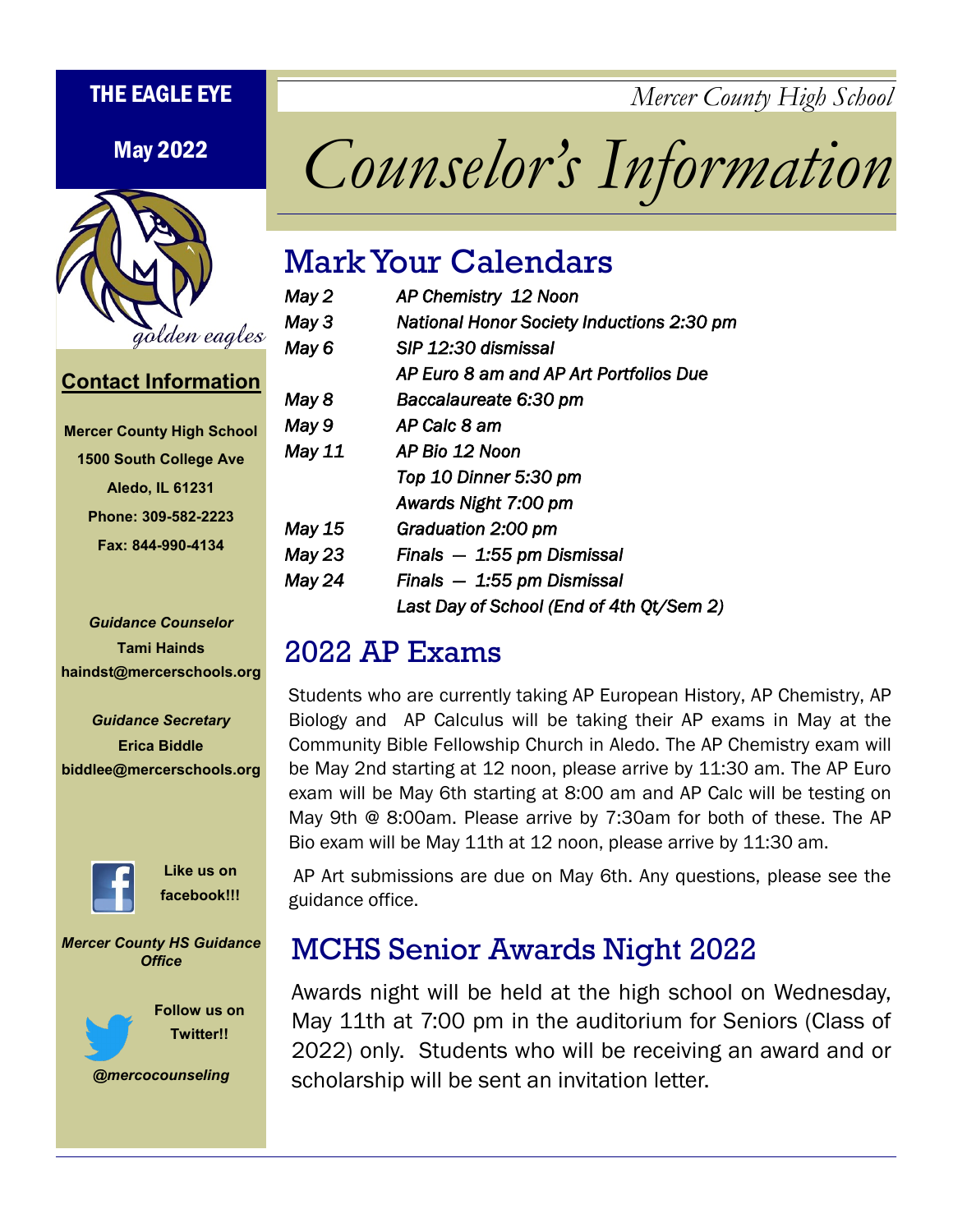THE EAGLE EYE *Mercer County High School*



# May 2022 *Counselor's Information*

### Mark Your Calendars

| May 2  | AP Chemistry 12 Noon                             |  |
|--------|--------------------------------------------------|--|
| May 3  | <b>National Honor Society Inductions 2:30 pm</b> |  |
| May 6  | SIP 12:30 dismissal                              |  |
|        | AP Euro 8 am and AP Art Portfolios Due           |  |
| May 8  | Baccalaureate 6:30 pm                            |  |
| May 9  | AP Calc 8 am                                     |  |
| May 11 | AP Bio 12 Noon                                   |  |
|        | Top 10 Dinner 5:30 pm                            |  |
|        | Awards Night 7:00 pm                             |  |
| May 15 | Graduation 2:00 pm                               |  |
| May 23 | Finals $-1.55$ pm Dismissal                      |  |
| May 24 | Finals $-1.55$ pm Dismissal                      |  |
|        | Last Day of School (End of 4th Qt/Sem 2)         |  |

#### 2022 AP Exams

Students who are currently taking AP European History, AP Chemistry, AP Biology and AP Calculus will be taking their AP exams in May at the Community Bible Fellowship Church in Aledo. The AP Chemistry exam will be May 2nd starting at 12 noon, please arrive by 11:30 am. The AP Euro exam will be May 6th starting at 8:00 am and AP Calc will be testing on May 9th @ 8:00am. Please arrive by 7:30am for both of these. The AP Bio exam will be May 11th at 12 noon, please arrive by 11:30 am.

AP Art submissions are due on May 6th. Any questions, please see the guidance office.

# MCHS Senior Awards Night 2022

Awards night will be held at the high school on Wednesday, May 11th at 7:00 pm in the auditorium for Seniors (Class of 2022) only. Students who will be receiving an award and or scholarship will be sent an invitation letter.

**Contact Information**

| <b>Mercer County High School</b> |
|----------------------------------|
| <b>1500 South College Ave</b>    |
| <b>Aledo, IL 61231</b>           |
| Phone: 309-582-2223              |
| Fax: 844-990-4134                |

*Guidance Counselor* **Tami Hainds haindst@mercerschools.org**

*Guidance Secretary* **Erica Biddle biddlee@mercerschools.org**



**Like us on facebook!!!**

*Mercer County HS Guidance Office*



**Follow us on Twitter!!**

*@mercocounseling*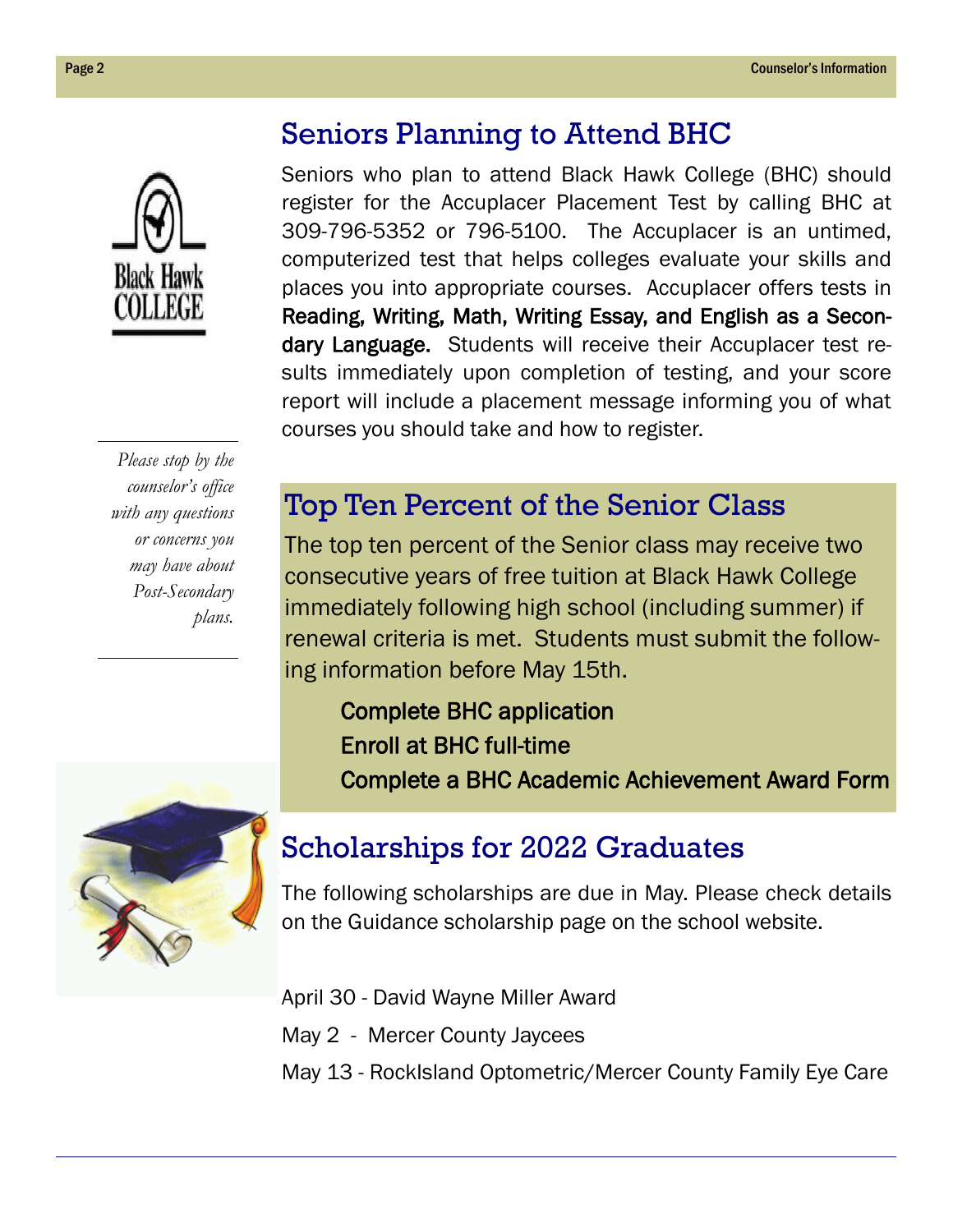# **Black Hawk COLLEG**

# Seniors Planning to Attend BHC

Seniors who plan to attend Black Hawk College (BHC) should register for the Accuplacer Placement Test by calling BHC at 309-796-5352 or 796-5100. The Accuplacer is an untimed, computerized test that helps colleges evaluate your skills and places you into appropriate courses. Accuplacer offers tests in Reading, Writing, Math, Writing Essay, and English as a Secondary Language. Students will receive their Accuplacer test results immediately upon completion of testing, and your score report will include a placement message informing you of what courses you should take and how to register.

*Please stop by the counselor's office with any questions or concerns you may have about Post-Secondary plans.*



### Top Ten Percent of the Senior Class

The top ten percent of the Senior class may receive two consecutive years of free tuition at Black Hawk College immediately following high school (including summer) if renewal criteria is met. Students must submit the following information before May 15th.

Complete BHC application Enroll at BHC full-time Complete a BHC Academic Achievement Award Form

# Scholarships for 2022 Graduates

The following scholarships are due in May. Please check details on the Guidance scholarship page on the school website.

April 30 - David Wayne Miller Award

- May 2 Mercer County Jaycees
- May 13 RockIsland Optometric/Mercer County Family Eye Care